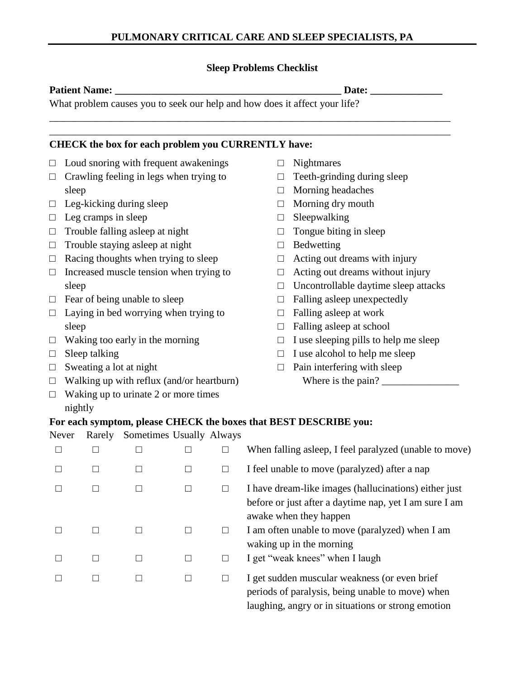## **Sleep Problems Checklist**

\_\_\_\_\_\_\_\_\_\_\_\_\_\_\_\_\_\_\_\_\_\_\_\_\_\_\_\_\_\_\_\_\_\_\_\_\_\_\_\_\_\_\_\_\_\_\_\_\_\_\_\_\_\_\_\_\_\_\_\_\_\_\_\_\_\_\_\_\_\_\_\_\_\_\_\_\_\_ \_\_\_\_\_\_\_\_\_\_\_\_\_\_\_\_\_\_\_\_\_\_\_\_\_\_\_\_\_\_\_\_\_\_\_\_\_\_\_\_\_\_\_\_\_\_\_\_\_\_\_\_\_\_\_\_\_\_\_\_\_\_\_\_\_\_\_\_\_\_\_\_\_\_\_\_\_\_

### **Patient Name: Date: Date: Date: Date: Date: Date: Date: Date: Date: Date: Date: Date: Date: Date: Date: Date: Date: Date: Date: Date: Date: Date: Date: Date: Date: Date:**

What problem causes you to seek our help and how does it affect your life?

# **CHECK the box for each problem you CURRENTLY have:**

- $\Box$  Loud snoring with frequent awakenings
- $\Box$  Crawling feeling in legs when trying to sleep
- $\Box$  Leg-kicking during sleep
- $\Box$  Leg cramps in sleep
- $\Box$  Trouble falling asleep at night
- $\Box$  Trouble staying asleep at night
- $\Box$  Racing thoughts when trying to sleep
- $\Box$  Increased muscle tension when trying to sleep
- $\Box$  Fear of being unable to sleep
- $\Box$  Laying in bed worrying when trying to sleep
- $\Box$  Waking too early in the morning
- $\Box$  Sleep talking
- $\Box$  Sweating a lot at night
- $\Box$  Walking up with reflux (and/or heartburn)
- $\Box$  Waking up to urinate 2 or more times nightly
- □ Nightmares
- $\Box$  Teeth-grinding during sleep
- □ Morning headaches
- $\Box$  Morning dry mouth
- $\Box$  Sleepwalking
- $\Box$  Tongue biting in sleep
- □ Bedwetting
- $\Box$  Acting out dreams with injury
- $\Box$  Acting out dreams without injury
- $\Box$  Uncontrollable daytime sleep attacks
- $\Box$  Falling asleep unexpectedly
- $\Box$  Falling asleep at work
- $\Box$  Falling asleep at school
- $\Box$  I use sleeping pills to help me sleep
- $\Box$  I use alcohol to help me sleep
- $\Box$  Pain interfering with sleep Where is the pain? \_\_\_\_\_\_\_\_\_\_\_\_\_\_\_

# **For each symptom, please CHECK the boxes that BEST DESCRIBE you:**

## Never Rarely Sometimes Usually Always

|   |        |                | When falling asleep, I feel paralyzed (unable to move)                                                                                                  |
|---|--------|----------------|---------------------------------------------------------------------------------------------------------------------------------------------------------|
|   | $\Box$ |                | I feel unable to move (paralyzed) after a nap                                                                                                           |
|   | $\Box$ | $\mathbf{L}$   | I have dream-like images (hallucinations) either just<br>before or just after a daytime nap, yet I am sure I am<br>awake when they happen               |
|   | П      | $\mathbb{R}^n$ | I am often unable to move (paralyzed) when I am<br>waking up in the morning                                                                             |
| П | П      |                | I get "weak knees" when I laugh                                                                                                                         |
|   | $\Box$ |                | I get sudden muscular weakness (or even brief<br>periods of paralysis, being unable to move) when<br>laughing, angry or in situations or strong emotion |